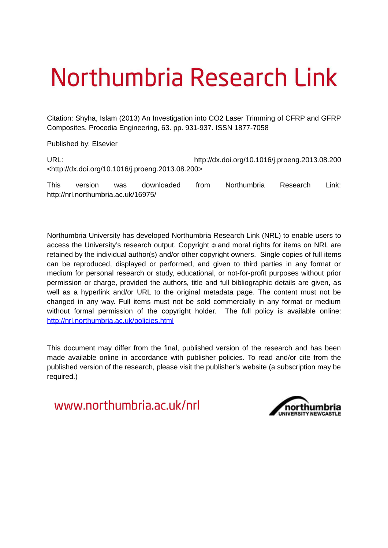# Northumbria Research Link

Citation: Shyha, Islam (2013) An Investigation into CO2 Laser Trimming of CFRP and GFRP Composites. Procedia Engineering, 63. pp. 931-937. ISSN 1877-7058

Published by: Elsevier

URL: http://dx.doi.org/10.1016/j.proeng.2013.08.200 <http://dx.doi.org/10.1016/j.proeng.2013.08.200>

This version was downloaded from Northumbria Research Link: http://nrl.northumbria.ac.uk/16975/

Northumbria University has developed Northumbria Research Link (NRL) to enable users to access the University's research output. Copyright  $\circ$  and moral rights for items on NRL are retained by the individual author(s) and/or other copyright owners. Single copies of full items can be reproduced, displayed or performed, and given to third parties in any format or medium for personal research or study, educational, or not-for-profit purposes without prior permission or charge, provided the authors, title and full bibliographic details are given, as well as a hyperlink and/or URL to the original metadata page. The content must not be changed in any way. Full items must not be sold commercially in any format or medium without formal permission of the copyright holder. The full policy is available online: <http://nrl.northumbria.ac.uk/policies.html>

This document may differ from the final, published version of the research and has been made available online in accordance with publisher policies. To read and/or cite from the published version of the research, please visit the publisher's website (a subscription may be required.)

www.northumbria.ac.uk/nrl

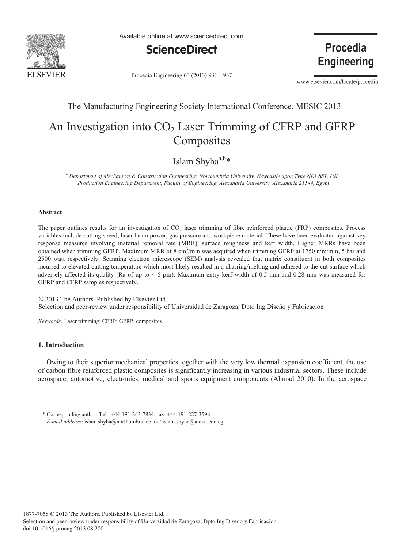

Available online at www.sciencedirect.com



**Procedia Engineering** 

Procedia Engineering 63 (2013) 931 – 937

www.elsevier.com/locate/procedia

## The Manufacturing Engineering Society International Conference, MESIC 2013

# An Investigation into  $CO<sub>2</sub>$  Laser Trimming of CFRP and GFRP **Composites**

Islam Shyha $a,b*$ 

*a Department of Mechanical & Construction Engineering, Northumbria University, Newcastle upon Tyne NE1 8ST, UK b Production Engineering Department, Faculty of Engineering, Alexandria University, Alexandria 21544, Egypt* 

#### **Abstract**

The paper outlines results for an investigation of  $CO<sub>2</sub>$  laser trimming of fibre reinforced plastic (FRP) composites. Process variables include cutting speed, laser beam power, gas pressure and workpiece material. These have been evaluated against key response measures involving material removal rate (MRR), surface roughness and kerf width. Higher MRRs have been obtained when trimming GFRP. Maximum MRR of 8 cm<sup>3</sup>/min was acquired when trimming GFRP at 1750 mm/min, 5 bar and 2500 watt respectively. Scanning electron microscope (SEM) analysis revealed that matrix constituent in both composites incurred to elevated cutting temperature which most likely resulted in a charring/melting and adhered to the cut surface which adversely affected its quality (Ra of up to  $\sim$  6 µm). Maximum entry kerf width of 0.5 mm and 0.28 mm was measured for GFRP and CFRP samples respectively.

© 2013 The Authors. Published by Elsevier Ltd. © 2013 The Authors. Published by Elsevier Ltd. Selection and peer-review under responsibility of Universidad de Zaragoza, Dpto Ing Diseño y Fabricacion

*Keywords:* Laser trimming; CFRP; GFRP; composites

#### **1. Introduction**

Owing to their superior mechanical properties together with the very low thermal expansion coefficient, the use of carbon fibre reinforced plastic composites is significantly increasing in various industrial sectors. These include aerospace, automotive, electronics, medical and sports equipment components (Ahmad 2010). In the aerospace

<sup>\*</sup> Corresponding author. Tel.: +44-191-243-7834; fax: +44-191-227-3598. *E-mail address:* islam.shyha@northumbria.ac.uk / islam.shyha@alexu.edu.eg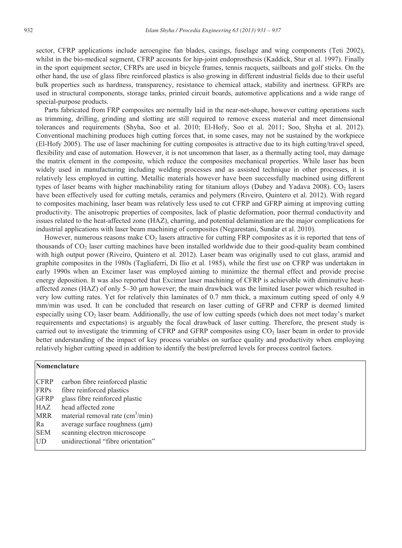sector, CFRP applications include aeroengine fan blades, casings, fuselage and wing components (Teti 2002), whilst in the bio-medical segment, CFRP accounts for hip-joint endoprosthesis (Kaddick, Stur et al. 1997). Finally in the sport equipment sector, CFRPs are used in bicycle frames, tennis racquets, sailboats and golf sticks. On the other hand, the use of glass fibre reinforced plastics is also growing in different industrial fields due to their useful bulk properties such as hardness, transparency, resistance to chemical attack, stability and inertness. GFRPs are used in structural components, storage tanks, printed circuit boards, automotive applications and a wide range of special-purpose products.

Parts fabricated from FRP composites are normally laid in the near-net-shape, however cutting operations such as trimming, drilling, grinding and slotting are still required to remove excess material and meet dimensional tolerances and requirements (Shyha, Soo et al. 2010; El-Hofy, Soo et al. 2011; Soo, Shyha et al. 2012). Conventional machining produces high cutting forces that, in some cases, may not be sustained by the workpiece (El-Hofy 2005). The use of laser machining for cutting composites is attractive due to its high cutting/travel speed, flexibility and ease of automation. However, it is not uncommon that laser, as a thermally acting tool, may damage the matrix element in the composite, which reduce the composites mechanical properties. While laser has been widely used in manufacturing including welding processes and as assisted technique in other processes, it is relatively less employed in cutting. Metallic materials however have been successfully machined using different types of laser beams with higher machinability rating for titanium alloys (Dubey and Yadava 2008).  $CO<sub>2</sub>$  lasers have been effectively used for cutting metals, ceramics and polymers (Riveiro, Quintero et al. 2012). With regard to composites machining, laser beam was relatively less used to cut CFRP and GFRP aiming at improving cutting productivity. The anisotropic properties of composites, lack of plastic deformation, poor thermal conductivity and issues related to the heat-affected zone (HAZ), charring, and potential delamination are the major complications for industrial applications with laser beam machining of composites (Negarestani, Sundar et al. 2010).

However, numerous reasons make  $CO<sub>2</sub>$  lasers attractive for cutting FRP composites as it is reported that tens of thousands of CO<sub>2</sub> laser cutting machines have been installed worldwide due to their good-quality beam combined with high output power (Riveiro, Quintero et al. 2012). Laser beam was originally used to cut glass, aramid and graphite composites in the 1980s (Tagliaferri, Di Ilio et al. 1985), while the first use on CFRP was undertaken in early 1990s when an Excimer laser was employed aiming to minimize the thermal effect and provide precise energy deposition. It was also reported that Excimer laser machining of CFRP is achievable with diminutive heataffected zones (HAZ) of only 5–30 µm however; the main drawback was the limited laser power which resulted in very low cutting rates. Yet for relatively thin laminates of 0.7 mm thick, a maximum cutting speed of only 4.9 mm/min was used. It can be concluded that research on laser cutting of GFRP and CFRP is deemed limited especially using  $CO<sub>2</sub>$  laser beam. Additionally, the use of low cutting speeds (which does not meet today's market requirements and expectations) is arguably the focal drawback of laser cutting. Therefore, the present study is carried out to investigate the trimming of CFRP and GFRP composites using CO<sub>2</sub> laser beam in order to provide better understanding of the impact of key process variables on surface quality and productivity when employing relatively higher cutting speed in addition to identify the best/preferred levels for process control factors.

### **Nomenclature**

| <b>CFRP</b> | carbon fibre reinforced plastic              |
|-------------|----------------------------------------------|
| <b>FRPs</b> | fibre reinforced plastics                    |
| <b>GFRP</b> | glass fibre reinforced plastic               |
| <b>HAZ</b>  | head affected zone                           |
| <b>MRR</b>  | material removal rate (cm <sup>3</sup> /min) |
| Ra          | average surface roughness $(\mu m)$          |
| <b>SEM</b>  | scanning electron microscope                 |
| ID          | unidirectional "fibre orientation"           |
|             |                                              |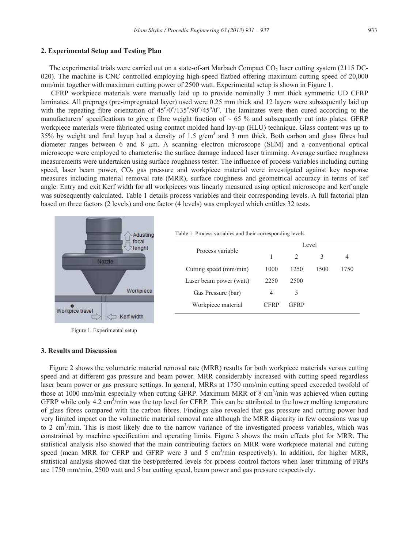#### **2. Experimental Setup and Testing Plan**

The experimental trials were carried out on a state-of-art Marbach Compact  $CO<sub>2</sub>$  laser cutting system (2115 DC-020). The machine is CNC controlled employing high-speed flatbed offering maximum cutting speed of 20,000 mm/min together with maximum cutting power of 2500 watt. Experimental setup is shown in Figure 1.

 CFRP workpiece materials were manually laid up to provide nominally 3 mm thick symmetric UD CFRP laminates. All prepregs (pre-impregnated layer) used were 0.25 mm thick and 12 layers were subsequently laid up with the repeating fibre orientation of  $45^{\circ}/0^{\circ}/135^{\circ}/90^{\circ}/45^{\circ}/0^{\circ}$ . The laminates were then cured according to the manufacturers' specifications to give a fibre weight fraction of  $\sim$  65 % and subsequently cut into plates. GFRP workpiece materials were fabricated using contact molded hand lay-up (HLU) technique. Glass content was up to 35% by weight and final layup had a density of 1.5  $g/cm<sup>3</sup>$  and 3 mm thick. Both carbon and glass fibres had diameter ranges between 6 and 8  $\mu$ m. A scanning electron microscope (SEM) and a conventional optical microscope were employed to characterise the surface damage induced laser trimming. Average surface roughness measurements were undertaken using surface roughness tester. The influence of process variables including cutting speed, laser beam power, CO<sub>2</sub> gas pressure and workpiece material were investigated against key response measures including material removal rate (MRR), surface roughness and geometrical accuracy in terms of kef angle. Entry and exit Kerf width for all workpieces was linearly measured using optical microscope and kerf angle was subsequently calculated. Table 1 details process variables and their corresponding levels. A full factorial plan based on three factors (2 levels) and one factor (4 levels) was employed which entitles 32 tests.



Figure 1. Experimental setup

#### **3. Results and Discussion**

Table 1. Process variables and their corresponding levels

|                         | Level       |      |      |      |
|-------------------------|-------------|------|------|------|
| Process variable        |             |      |      |      |
| Cutting speed (mm/min)  | 1000        | 1250 | 1500 | 1750 |
| Laser beam power (watt) | 2250        | 2500 |      |      |
| Gas Pressure (bar)      | 4           |      |      |      |
| Workpiece material      | <b>CFRP</b> | GERP |      |      |

Figure 2 shows the volumetric material removal rate (MRR) results for both workpiece materials versus cutting speed and at different gas pressure and beam power. MRR considerably increased with cutting speed regardless laser beam power or gas pressure settings. In general, MRRs at 1750 mm/min cutting speed exceeded twofold of those at 1000 mm/min especially when cutting GFRP. Maximum MRR of 8 cm<sup>3</sup>/min was achieved when cutting GFRP while only  $4.2 \text{ cm}^3/\text{min}$  was the top level for CFRP. This can be attributed to the lower melting temperature of glass fibres compared with the carbon fibres. Findings also revealed that gas pressure and cutting power had very limited impact on the volumetric material removal rate although the MRR disparity in few occasions was up to 2 cm<sup>3</sup>/min. This is most likely due to the narrow variance of the investigated process variables, which was constrained by machine specification and operating limits. Figure 3 shows the main effects plot for MRR. The statistical analysis also showed that the main contributing factors on MRR were workpiece material and cutting speed (mean MRR for CFRP and GFRP were 3 and 5 cm<sup>3</sup>/min respectively). In addition, for higher MRR, statistical analysis showed that the best/preferred levels for process control factors when laser trimming of FRPs are 1750 mm/min, 2500 watt and 5 bar cutting speed, beam power and gas pressure respectively.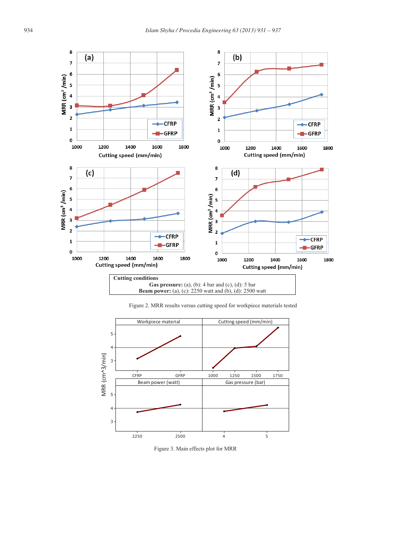





Figure 3. Main effects plot for MRR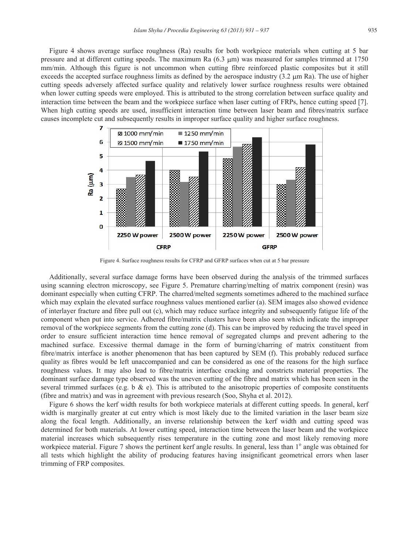Figure 4 shows average surface roughness (Ra) results for both workpiece materials when cutting at 5 bar pressure and at different cutting speeds. The maximum Ra  $(6.3 \mu m)$  was measured for samples trimmed at 1750 mm/min. Although this figure is not uncommon when cutting fibre reinforced plastic composites but it still exceeds the accepted surface roughness limits as defined by the aerospace industry (3.2 m Ra). The use of higher cutting speeds adversely affected surface quality and relatively lower surface roughness results were obtained when lower cutting speeds were employed. This is attributed to the strong correlation between surface quality and interaction time between the beam and the workpiece surface when laser cutting of FRPs, hence cutting speed [7]. When high cutting speeds are used, insufficient interaction time between laser beam and fibres/matrix surface causes incomplete cut and subsequently results in improper surface quality and higher surface roughness.



Figure 4. Surface roughness results for CFRP and GFRP surfaces when cut at 5 bar pressure

Additionally, several surface damage forms have been observed during the analysis of the trimmed surfaces using scanning electron microscopy, see Figure 5. Premature charring/melting of matrix component (resin) was dominant especially when cutting CFRP. The charred/melted segments sometimes adhered to the machined surface which may explain the elevated surface roughness values mentioned earlier (a). SEM images also showed evidence of interlayer fracture and fibre pull out (c), which may reduce surface integrity and subsequently fatigue life of the component when put into service. Adhered fibre/matrix clusters have been also seen which indicate the improper removal of the workpiece segments from the cutting zone (d). This can be improved by reducing the travel speed in order to ensure sufficient interaction time hence removal of segregated clumps and prevent adhering to the machined surface. Excessive thermal damage in the form of burning/charring of matrix constituent from fibre/matrix interface is another phenomenon that has been captured by SEM (f). This probably reduced surface quality as fibres would be left unaccompanied and can be considered as one of the reasons for the high surface roughness values. It may also lead to fibre/matrix interface cracking and constricts material properties. The dominant surface damage type observed was the uneven cutting of the fibre and matrix which has been seen in the several trimmed surfaces (e.g. b  $\&$  e). This is attributed to the anisotropic properties of composite constituents (fibre and matrix) and was in agreement with previous research (Soo, Shyha et al. 2012).

Figure 6 shows the kerf width results for both workpiece materials at different cutting speeds. In general, kerf width is marginally greater at cut entry which is most likely due to the limited variation in the laser beam size along the focal length. Additionally, an inverse relationship between the kerf width and cutting speed was determined for both materials. At lower cutting speed, interaction time between the laser beam and the workpiece material increases which subsequently rises temperature in the cutting zone and most likely removing more workpiece material. Figure 7 shows the pertinent kerf angle results. In general, less than 1° angle was obtained for all tests which highlight the ability of producing features having insignificant geometrical errors when laser trimming of FRP composites.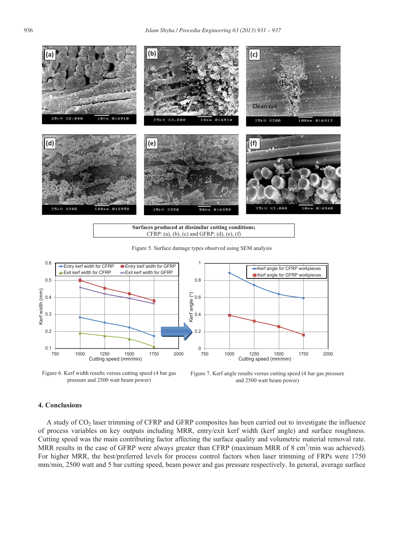

**Surfaces produced at dissimilar cutting conditions;** CFRP: (a), (b), (c) and GFRP: (d), (e), (f)

Figure 5. Surface damage types observed using SEM analysis



Figure 6. Kerf width results versus cutting speed (4 bar gas pressure and 2500 watt beam power)

Figure 7. Kerf angle results versus cutting speed (4 bar gas pressure and 2500 watt beam power)

#### **4. Conclusions**

A study of CO2 laser trimming of CFRP and GFRP composites has been carried out to investigate the influence of process variables on key outputs including MRR, entry/exit kerf width (kerf angle) and surface roughness. Cutting speed was the main contributing factor affecting the surface quality and volumetric material removal rate. MRR results in the case of GFRP were always greater than CFRP (maximum MRR of 8 cm<sup>3</sup>/min was achieved). For higher MRR, the best/preferred levels for process control factors when laser trimming of FRPs were 1750 mm/min, 2500 watt and 5 bar cutting speed, beam power and gas pressure respectively. In general, average surface